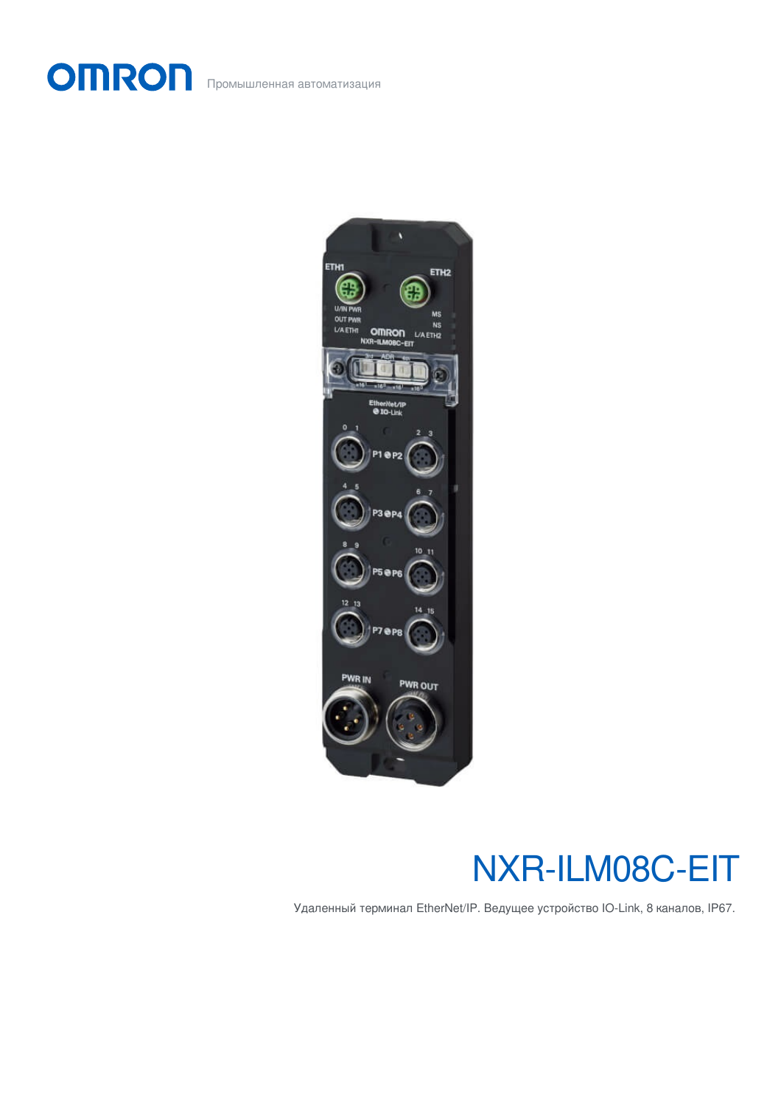OMRON Промышленная автоматизация



# NXR-ILM08C-EIT

Удаленный терминал EtherNet/IP. Ведущее устройство IO-Link, 8 каналов, IP67.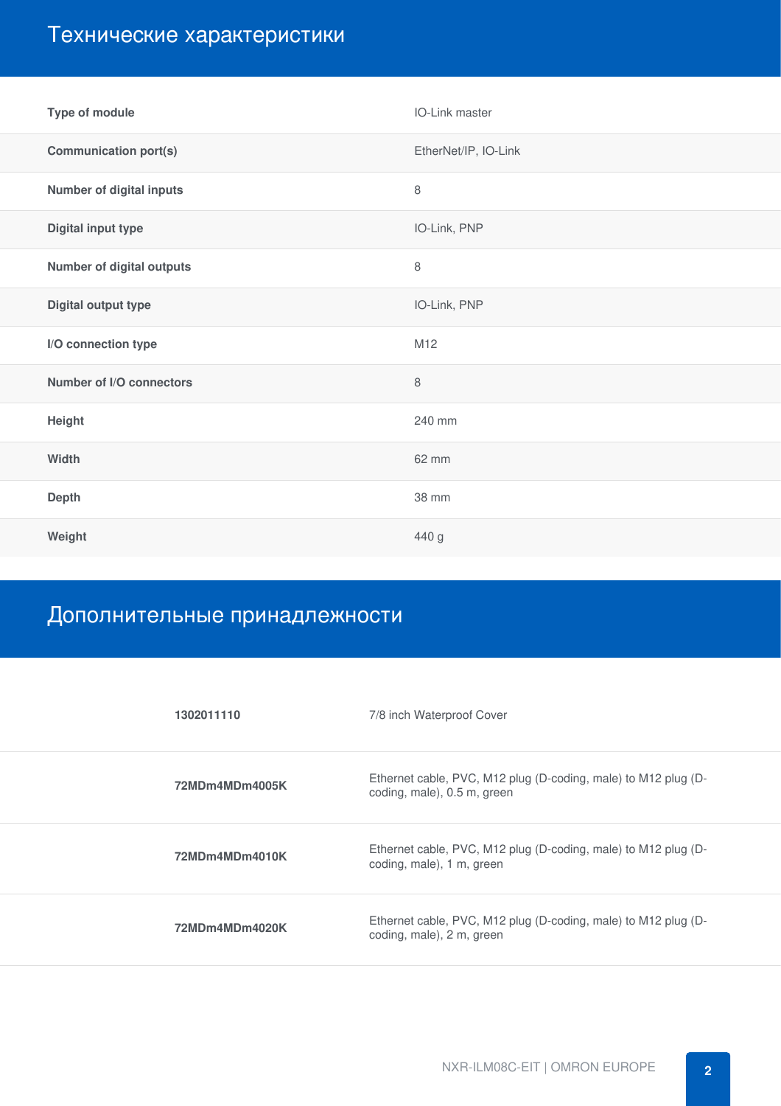## Технические характеристики

| Type of module                   | IO-Link master       |  |
|----------------------------------|----------------------|--|
| <b>Communication port(s)</b>     | EtherNet/IP, IO-Link |  |
| <b>Number of digital inputs</b>  | $\,8\,$              |  |
| Digital input type               | IO-Link, PNP         |  |
| <b>Number of digital outputs</b> | $\,8\,$              |  |
| Digital output type              | IO-Link, PNP         |  |
| I/O connection type              | M12                  |  |
| Number of I/O connectors         | $\,8\,$              |  |
| Height                           | 240 mm               |  |
| Width                            | 62 mm                |  |
| Depth                            | 38 mm                |  |
| Weight                           | 440 g                |  |

### Дополнительные принадлежности

| 1302011110     | 7/8 inch Waterproof Cover                                                                     |
|----------------|-----------------------------------------------------------------------------------------------|
| 72MDm4MDm4005K | Ethernet cable, PVC, M12 plug (D-coding, male) to M12 plug (D-<br>coding, male), 0.5 m, green |
| 72MDm4MDm4010K | Ethernet cable, PVC, M12 plug (D-coding, male) to M12 plug (D-<br>coding, male), 1 m, green   |
| 72MDm4MDm4020K | Ethernet cable, PVC, M12 plug (D-coding, male) to M12 plug (D-<br>coding, male), 2 m, green   |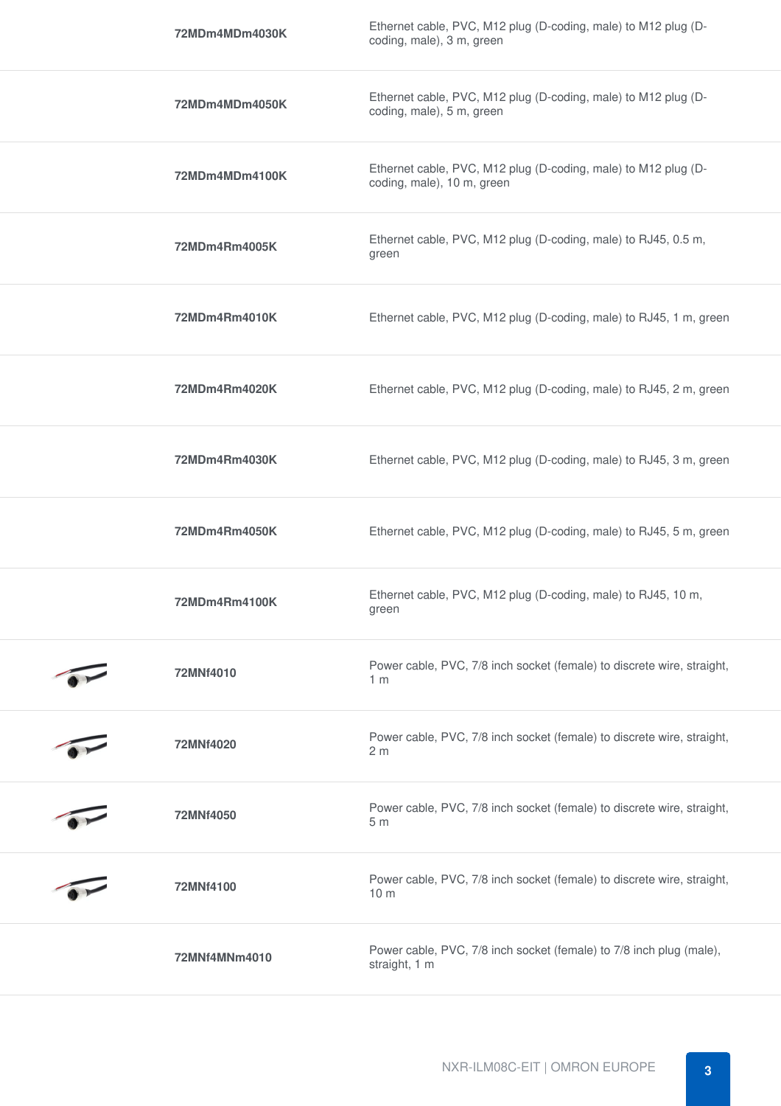| 72MDm4MDm4030K | Ethernet cable, PVC, M12 plug (D-coding, male) to M12 plug (D-<br>coding, male), 3 m, green  |  |
|----------------|----------------------------------------------------------------------------------------------|--|
| 72MDm4MDm4050K | Ethernet cable, PVC, M12 plug (D-coding, male) to M12 plug (D-<br>coding, male), 5 m, green  |  |
| 72MDm4MDm4100K | Ethernet cable, PVC, M12 plug (D-coding, male) to M12 plug (D-<br>coding, male), 10 m, green |  |
| 72MDm4Rm4005K  | Ethernet cable, PVC, M12 plug (D-coding, male) to RJ45, 0.5 m,<br>green                      |  |
| 72MDm4Rm4010K  | Ethernet cable, PVC, M12 plug (D-coding, male) to RJ45, 1 m, green                           |  |
| 72MDm4Rm4020K  | Ethernet cable, PVC, M12 plug (D-coding, male) to RJ45, 2 m, green                           |  |
| 72MDm4Rm4030K  | Ethernet cable, PVC, M12 plug (D-coding, male) to RJ45, 3 m, green                           |  |
| 72MDm4Rm4050K  | Ethernet cable, PVC, M12 plug (D-coding, male) to RJ45, 5 m, green                           |  |
| 72MDm4Rm4100K  | Ethernet cable, PVC, M12 plug (D-coding, male) to RJ45, 10 m,<br>green                       |  |
| 72MNf4010      | Power cable, PVC, 7/8 inch socket (female) to discrete wire, straight,<br>1 <sub>m</sub>     |  |
| 72MNf4020      | Power cable, PVC, 7/8 inch socket (female) to discrete wire, straight,<br>2 <sub>m</sub>     |  |
| 72MNf4050      | Power cable, PVC, 7/8 inch socket (female) to discrete wire, straight,<br>5m                 |  |
| 72MNf4100      | Power cable, PVC, 7/8 inch socket (female) to discrete wire, straight,<br>10 <sub>m</sub>    |  |
| 72MNf4MNm4010  | Power cable, PVC, 7/8 inch socket (female) to 7/8 inch plug (male),<br>straight, 1 m         |  |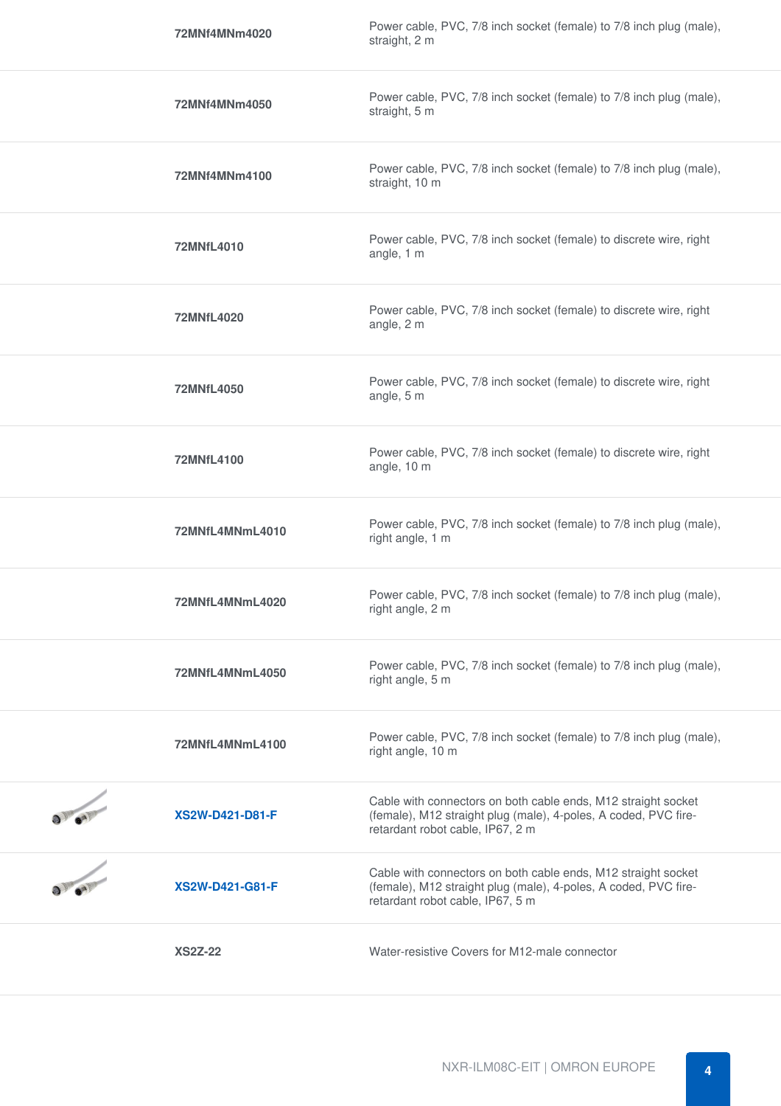| 72MNf4MNm4020          | Power cable, PVC, 7/8 inch socket (female) to 7/8 inch plug (male),<br>straight, 2 m                                                                                 |
|------------------------|----------------------------------------------------------------------------------------------------------------------------------------------------------------------|
| 72MNf4MNm4050          | Power cable, PVC, 7/8 inch socket (female) to 7/8 inch plug (male),<br>straight, 5 m                                                                                 |
| 72MNf4MNm4100          | Power cable, PVC, 7/8 inch socket (female) to 7/8 inch plug (male),<br>straight, 10 m                                                                                |
| 72MNfL4010             | Power cable, PVC, 7/8 inch socket (female) to discrete wire, right<br>angle, 1 m                                                                                     |
| 72MNfL4020             | Power cable, PVC, 7/8 inch socket (female) to discrete wire, right<br>angle, 2 m                                                                                     |
| 72MNfL4050             | Power cable, PVC, 7/8 inch socket (female) to discrete wire, right<br>angle, 5 m                                                                                     |
| 72MNfL4100             | Power cable, PVC, 7/8 inch socket (female) to discrete wire, right<br>angle, 10 m                                                                                    |
| 72MNfL4MNmL4010        | Power cable, PVC, 7/8 inch socket (female) to 7/8 inch plug (male),<br>right angle, 1 m                                                                              |
| 72MNfL4MNmL4020        | Power cable, PVC, 7/8 inch socket (female) to 7/8 inch plug (male),<br>right angle, 2 m                                                                              |
| 72MNfL4MNmL4050        | Power cable, PVC, 7/8 inch socket (female) to 7/8 inch plug (male),<br>right angle, 5 m                                                                              |
| 72MNfL4MNmL4100        | Power cable, PVC, 7/8 inch socket (female) to 7/8 inch plug (male),<br>right angle, 10 m                                                                             |
| <b>XS2W-D421-D81-F</b> | Cable with connectors on both cable ends, M12 straight socket<br>(female), M12 straight plug (male), 4-poles, A coded, PVC fire-<br>retardant robot cable, IP67, 2 m |
| <b>XS2W-D421-G81-F</b> | Cable with connectors on both cable ends, M12 straight socket<br>(female), M12 straight plug (male), 4-poles, A coded, PVC fire-<br>retardant robot cable, IP67, 5 m |
| <b>XS2Z-22</b>         | Water-resistive Covers for M12-male connector                                                                                                                        |